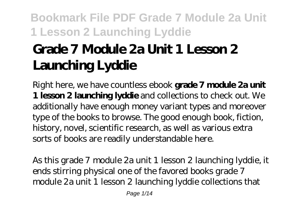# **Grade 7 Module 2a Unit 1 Lesson 2 Launching Lyddie**

Right here, we have countless ebook **grade 7 module 2a unit 1 lesson 2 launching lyddie** and collections to check out. We additionally have enough money variant types and moreover type of the books to browse. The good enough book, fiction, history, novel, scientific research, as well as various extra sorts of books are readily understandable here.

As this grade 7 module 2a unit 1 lesson 2 launching lyddie, it ends stirring physical one of the favored books grade 7 module 2a unit 1 lesson 2 launching lyddie collections that

Page 1/14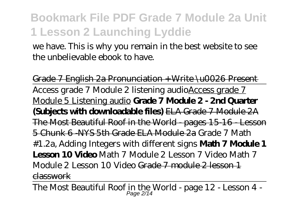we have. This is why you remain in the best website to see the unbelievable ebook to have.

Grade 7 English 2a Pronunciation + Write \u0026 Present Access grade 7 Module 2 listening audioAccess grade 7 Module 5 Listening audio **Grade 7 Module 2 - 2nd Quarter (Subjects with downloadable files)** ELA Grade 7 Module 2A The Most Beautiful Roof in the World - pages 15-16 - Lesson 5 Chunk 6 -NYS 5th Grade ELA Module 2a *Grade 7 Math #1.2a, Adding Integers with different signs* **Math 7 Module 1 Lesson 10 Video** Math 7 Module 2 Lesson 7 Video *Math 7 Module 2 Lesson 10 Video* Grade 7 module 2 lesson 1 classwork

The Most Beautiful Roof in the World - page  $12$  - Lesson  $4$  -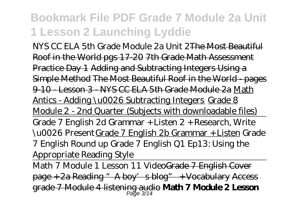NYS CC ELA 5th Grade Module 2a Unit 2The Most Beautiful Roof in the World pgs 17-20 7th Grade Math Assessment Practice Day 1 Adding and Subtracting Integers Using a Simple Method The Most Beautiful Roof in the World - pages 9-10 - Lesson 3 - NYS CC ELA 5th Grade Module 2a Math Antics - Adding \u0026 Subtracting Integers Grade 8 Module 2 - 2nd Quarter (Subjects with downloadable files) Grade 7 English 2d Grammar + Listen 2 + Research, Write \u0026 PresentGrade 7 English 2b Grammar + Listen *Grade 7 English Round up Grade 7 English Q1 Ep13: Using the Appropriate Reading Style*

Math 7 Module 1 Lesson 11 VideoGrade 7 English Cover page + 2a Reading "A boy's blog" + Vocabulary Access grade 7 Module 4 listening audio **Math 7 Module 2 Lesson** Page 3/14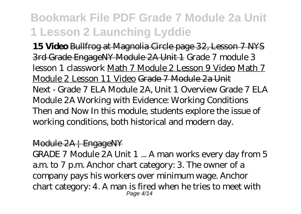**15 Video** Bullfrog at Magnolia Circle page 32, Lesson 7 NYS 3rd Grade EngageNY Module 2A Unit 1 *Grade 7 module 3 lesson 1 classwork* Math 7 Module 2 Lesson 9 Video Math 7 Module 2 Lesson 11 Video Grade 7 Module 2a Unit Next - Grade 7 ELA Module 2A, Unit 1 Overview Grade 7 ELA Module 2A Working with Evidence: Working Conditions Then and Now In this module, students explore the issue of working conditions, both historical and modern day.

#### Module 2A | EngageNY

GRADE 7 Module 2A Unit 1 ... A man works every day from 5 a.m. to 7 p.m. Anchor chart category: 3. The owner of a company pays his workers over minimum wage. Anchor chart category: 4. A man is fired when he tries to meet with Page 4/14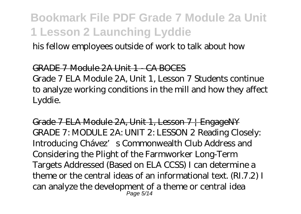his fellow employees outside of work to talk about how

#### GRADE 7 Module 2A Unit 1 - CA BOCES

Grade 7 ELA Module 2A, Unit 1, Lesson 7 Students continue to analyze working conditions in the mill and how they affect Lyddie.

Grade 7 ELA Module 2A, Unit 1, Lesson 7 | EngageNY GRADE 7: MODULE 2A: UNIT 2: LESSON 2 Reading Closely: Introducing Chávez's Commonwealth Club Address and Considering the Plight of the Farmworker Long-Term Targets Addressed (Based on ELA CCSS) I can determine a theme or the central ideas of an informational text. (RI.7.2) I can analyze the development of a theme or central idea Page 5/14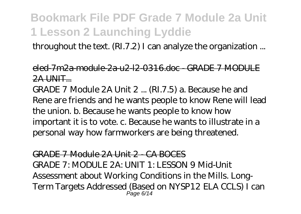throughout the text. (RI.7.2) I can analyze the organization ...

#### eled-7m2a-module-2a-u2-l2-0316.doc - GRADE 7 MODULE 2A UNIT...

GRADE 7 Module 2A Unit 2 ... (RI.7.5) a. Because he and Rene are friends and he wants people to know Rene will lead the union. b. Because he wants people to know how important it is to vote. c. Because he wants to illustrate in a personal way how farmworkers are being threatened.

GRADE 7 Module 2A Unit 2 - CA BOCES GRADE 7: MODULE 2A: UNIT 1: LESSON 9 Mid-Unit Assessment about Working Conditions in the Mills. Long-Term Targets Addressed (Based on NYSP12 ELA CCLS) I can Page 6/14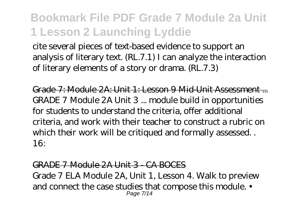cite several pieces of text-based evidence to support an analysis of literary text. (RL.7.1) I can analyze the interaction of literary elements of a story or drama. (RL.7.3)

Grade 7: Module 2A: Unit 1: Lesson 9 Mid-Unit Assessment ... GRADE 7 Module 2A Unit 3 ... module build in opportunities for students to understand the criteria, offer additional criteria, and work with their teacher to construct a rubric on which their work will be critiqued and formally assessed. . 16:

#### GRADE 7 Module 2A Unit 3 - CA BOCES

Grade 7 ELA Module 2A, Unit 1, Lesson 4. Walk to preview and connect the case studies that compose this module. • Page 7/14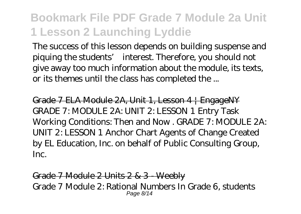The success of this lesson depends on building suspense and piquing the students' interest. Therefore, you should not give away too much information about the module, its texts, or its themes until the class has completed the ...

Grade 7 ELA Module 2A, Unit 1, Lesson 4 | EngageNY GRADE 7: MODULE 2A: UNIT 2: LESSON 1 Entry Task Working Conditions: Then and Now . GRADE 7: MODULE 2A: UNIT 2: LESSON 1 Anchor Chart Agents of Change Created by EL Education, Inc. on behalf of Public Consulting Group, Inc.

Grade 7 Module 2 Units 2 & 3 - Weebly Grade 7 Module 2: Rational Numbers In Grade 6, students Page 8/14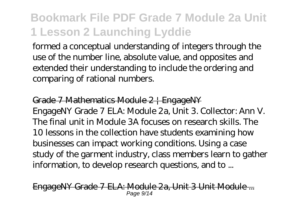formed a conceptual understanding of integers through the use of the number line, absolute value, and opposites and extended their understanding to include the ordering and comparing of rational numbers.

Grade 7 Mathematics Module 2 | EngageNY EngageNY Grade 7 ELA: Module 2a, Unit 3. Collector: Ann V. The final unit in Module 3A focuses on research skills. The 10 lessons in the collection have students examining how businesses can impact working conditions. Using a case study of the garment industry, class members learn to gather information, to develop research questions, and to ...

<del>7 ELA: Module 2a, Unit 3 Unit Module ...</del> Page 9/14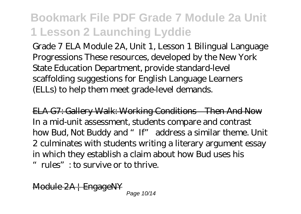Grade 7 ELA Module 2A, Unit 1, Lesson 1 Bilingual Language Progressions These resources, developed by the New York State Education Department, provide standard-level scaffolding suggestions for English Language Learners (ELLs) to help them meet grade-level demands.

ELA G7: Gallery Walk: Working Conditions—Then And Now In a mid-unit assessment, students compare and contrast how Bud, Not Buddy and "If" address a similar theme. Unit 2 culminates with students writing a literary argument essay in which they establish a claim about how Bud uses his "rules": to survive or to thrive.

Module 2A | EngageNY Page 10/14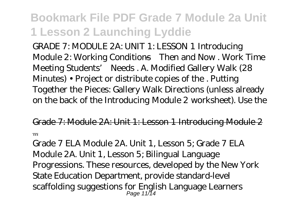GRADE 7: MODULE 2A: UNIT 1: LESSON 1 Introducing Module 2: Working Conditions—Then and Now . Work Time Meeting Students' Needs . A. Modified Gallery Walk (28 Minutes) • Project or distribute copies of the . Putting Together the Pieces: Gallery Walk Directions (unless already on the back of the Introducing Module 2 worksheet). Use the

Grade 7: Module 2A: Unit 1: Lesson 1 Introducing Module 2 ...

Grade 7 ELA Module 2A. Unit 1, Lesson 5; Grade 7 ELA Module 2A. Unit 1, Lesson 5; Bilingual Language Progressions. These resources, developed by the New York State Education Department, provide standard-level scaffolding suggestions for English Language Learners Page 11/14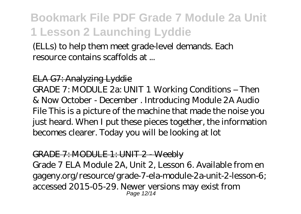(ELLs) to help them meet grade-level demands. Each resource contains scaffolds at ...

#### ELA G7: Analyzing Lyddie

GRADE 7: MODULE 2a: UNIT 1 Working Conditions – Then & Now October - December . Introducing Module 2A Audio File This is a picture of the machine that made the noise you just heard. When I put these pieces together, the information becomes clearer. Today you will be looking at lot

#### GRADE 7: MODULE 1: UNIT 2 - Weebly

Grade 7 ELA Module 2A, Unit 2, Lesson 6. Available from en gageny.org/resource/grade-7-ela-module-2a-unit-2-lesson-6; accessed 2015-05-29. Newer versions may exist from Page 12/14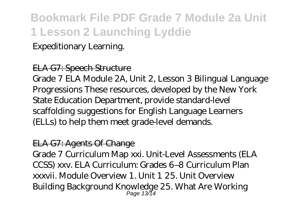#### Expeditionary Learning.

#### ELA G7: Speech Structure

Grade 7 ELA Module 2A, Unit 2, Lesson 3 Bilingual Language Progressions These resources, developed by the New York State Education Department, provide standard-level scaffolding suggestions for English Language Learners (ELLs) to help them meet grade-level demands.

#### ELA G7: Agents Of Change

Grade 7 Curriculum Map xxi. Unit-Level Assessments (ELA CCSS) xxv. ELA Curriculum: Grades 6–8 Curriculum Plan xxxvii. Module Overview 1. Unit 1 25. Unit Overview Building Background Knowledge 25. What Are Working Page 13/14